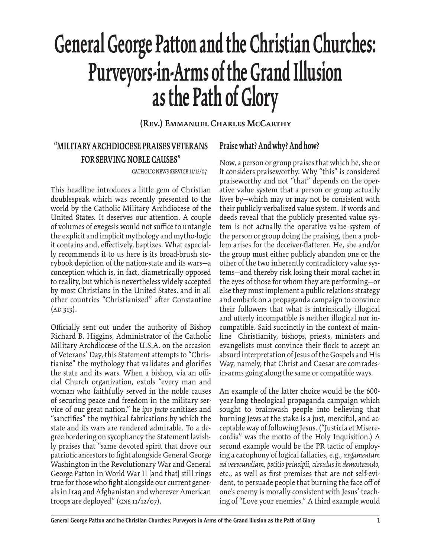# **General George Patton and the Christian Churches: Purveyors-in-Arms of the Grand Illusion as the Path of Glory**

#### **(Rev.) Emmanuel Charles McCarthy**

# **"MILITARY ARCHDIOCESE PRAISES VETERANS FOR SERVING NOBLE CAUSES"**

catholic news service 11/12/07

This headline introduces a little gem of Christian doublespeak which was recently presented to the world by the Catholic Military Archdiocese of the United States. It deserves our attention. A couple of volumes of exegesis would not suffice to untangle the explicit and implicit mythology and mytho-logic it contains and, effectively, baptizes. What especially recommends it to us here is its broad-brush storybook depiction of the nation-state and its wars—a conception which is, in fact, diametrically opposed to reality, but which is nevertheless widely accepted by most Christians in the United States, and in all other countries "Christianized" after Constantine  $(AD 313).$ 

Officially sent out under the authority of Bishop Richard B. Higgins, Administrator of the Catholic Military Archdiocese of the U.S.A. on the occasion of Veterans' Day, this Statement attempts to "Christianize" the mythology that validates and glorifies the state and its wars. When a bishop, via an official Church organization, extols "every man and woman who faithfully served in the noble causes of securing peace and freedom in the military service of our great nation," he *ipso facto* sanitizes and "sanctifies" the mythical fabrications by which the state and its wars are rendered admirable. To a degree bordering on sycophancy the Statement lavishly praises that "same devoted spirit that drove our patriotic ancestors to fight alongside General George Washington in the Revolutionary War and General George Patton in World War II [and that] still rings true for those who fight alongside our current generals in Iraq and Afghanistan and wherever American troops are deployed" (cns 11/12/07).

#### **Praise what? And why? And how?**

Now, a person or group praises that which he, she or it considers praiseworthy. Why "this" is considered praiseworthy and not "that" depends on the operative value system that a person or group actually lives by—which may or may not be consistent with their publicly verbalized value system. If words and deeds reveal that the publicly presented value system is not actually the operative value system of the person or group doing the praising, then a problem arises for the deceiver-flatterer. He, she and/or the group must either publicly abandon one or the other of the two inherently contradictory value systems—and thereby risk losing their moral cachet in the eyes of those for whom they are performing—or else they must implement a public relations strategy and embark on a propaganda campaign to convince their followers that what is intrinsically illogical and utterly incompatible is neither illogical nor incompatible. Said succinctly in the context of mainline Christianity, bishops, priests, ministers and evangelists must convince their flock to accept an absurd interpretation of Jesus of the Gospels and His Way, namely, that Christ and Caesar are comradesin-arms going along the same or compatible ways.

An example of the latter choice would be the 600 year-long theological propaganda campaign which sought to brainwash people into believing that burning Jews at the stake is a just, merciful, and acceptable way of following Jesus. ("Justicia et Miserecordia" was the motto of the Holy Inquisition.) A second example would be the PR tactic of employing a cacophony of logical fallacies, e.g., *argumentum ad verecundiam, petitio principii, circulus in demostrando,* etc., as well as first premises that are not self-evident, to persuade people that burning the face off of one's enemy is morally consistent with Jesus' teaching of "Love your enemies." A third example would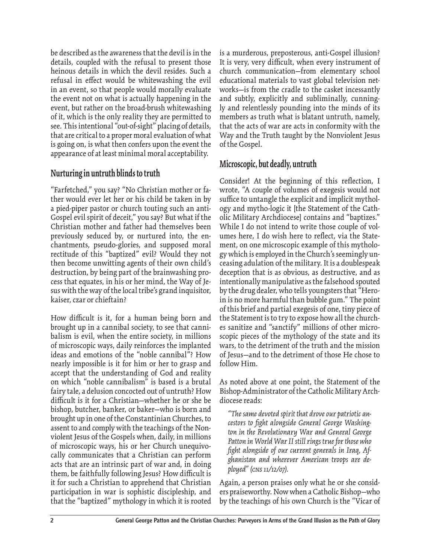be described as the awareness that the devil is in the details, coupled with the refusal to present those heinous details in which the devil resides. Such a refusal in effect would be whitewashing the evil in an event, so that people would morally evaluate the event not on what is actually happening in the event, but rather on the broad-brush whitewashing of it, which is the only reality they are permitted to see. This intentional "out-of-sight" placing of details, that are critical to a proper moral evaluation of what is going on, is what then confers upon the event the appearance of at least minimal moral acceptability.

#### **Nurturing in untruth blinds to truth**

"Farfetched," you say? "No Christian mother or father would ever let her or his child be taken in by a pied-piper pastor or church touting such an anti-Gospel evil spirit of deceit," you say? But what if the Christian mother and father had themselves been previously seduced by, or nurtured into, the enchantments, pseudo-glories, and supposed moral rectitude of this "baptized" evil? Would they not then become unwitting agents of their own child's destruction, by being part of the brainwashing process that equates, in his or her mind, the Way of Jesus with the way of the local tribe's grand inquisitor, kaiser, czar or chieftain?

How difficult is it, for a human being born and brought up in a cannibal society, to see that cannibalism is evil, when the entire society, in millions of microscopic ways, daily reinforces the implanted ideas and emotions of the "noble cannibal"? How nearly impossible is it for him or her to grasp and accept that the understanding of God and reality on which "noble cannibalism" is based is a brutal fairy tale, a delusion concocted out of untruth? How difficult is it for a Christian—whether he or she be bishop, butcher, banker, or baker—who is born and brought up in one of the Constantinian Churches, to assent to and comply with the teachings of the Nonviolent Jesus of the Gospels when, daily, in millions of microscopic ways, his or her Church unequivocally communicates that a Christian can perform acts that are an intrinsic part of war and, in doing them, be faithfully following Jesus? How difficult is it for such a Christian to apprehend that Christian participation in war is sophistic discipleship, and that the "baptized" mythology in which it is rooted

is a murderous, preposterous, anti-Gospel illusion? It is very, very difficult, when every instrument of church communication—from elementary school educational materials to vast global television networks—is from the cradle to the casket incessantly and subtly, explicitly and subliminally, cunningly and relentlessly pounding into the minds of its members as truth what is blatant untruth, namely, that the acts of war are acts in conformity with the Way and the Truth taught by the Nonviolent Jesus of the Gospel.

#### **Microscopic, but deadly, untruth**

Consider! At the beginning of this reflection, I wrote, "A couple of volumes of exegesis would not suffice to untangle the explicit and implicit mythology and mytho-logic it [the Statement of the Catholic Military Archdiocese] contains and "baptizes." While I do not intend to write those couple of volumes here, I do wish here to reflect, via the Statement, on one microscopic example of this mythology which is employed in the Church's seemingly unceasing adulation of the military. It is a doublespeak deception that is as obvious, as destructive, and as intentionally manipulative as the falsehood spouted by the drug dealer, who tells youngsters that "Heroin is no more harmful than bubble gum." The point of this brief and partial exegesis of one, tiny piece of the Statement is to try to expose how all the churches sanitize and "sanctify" millions of other microscopic pieces of the mythology of the state and its wars, to the detriment of the truth and the mission of Jesus—and to the detriment of those He chose to follow Him.

As noted above at one point, the Statement of the Bishop-Administrator of the Catholic Military Archdiocese reads:

*"The same devoted spirit that drove our patriotic ancestors to fi ght alongside General George Washington in the Revolutionary War and General George Patton in World War II still rings true for those who*  fight alongside of our current generals in Iraq, Af*ghanistan and wherever American troops are deployed" (CNS 11/12/07).*

Again, a person praises only what he or she considers praiseworthy. Now when a Catholic Bishop—who by the teachings of his own Church is the "Vicar of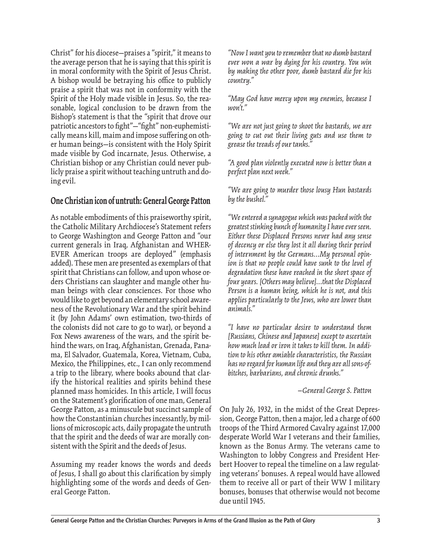Christ" for his diocese—praises a "spirit," it means to the average person that he is saying that this spirit is in moral conformity with the Spirit of Jesus Christ. A bishop would be betraying his office to publicly praise a spirit that was not in conformity with the Spirit of the Holy made visible in Jesus. So, the reasonable, logical conclusion to be drawn from the Bishop's statement is that the "spirit that drove our patriotic ancestors to fight"—"fight" non-euphemistically means kill, maim and impose suffering on other human beings—is consistent with the Holy Spirit made visible by God incarnate, Jesus. Otherwise, a Christian bishop or any Christian could never publicly praise a spirit without teaching untruth and doing evil.

#### **One Christian icon of untruth: General George Patton**

As notable embodiments of this praiseworthy spirit, the Catholic Military Archdiocese's Statement refers to George Washington and George Patton and "our current generals in Iraq, Afghanistan and WHER-EVER American troops are deployed" (emphasis added). These men are presented as exemplars of that spirit that Christians can follow, and upon whose orders Christians can slaughter and mangle other human beings with clear consciences. For those who would like to get beyond an elementary school awareness of the Revolutionary War and the spirit behind it (by John Adams' own estimation, two-thirds of the colonists did not care to go to war), or beyond a Fox News awareness of the wars, and the spirit behind the wars, on Iraq, Afghanistan, Grenada, Panama, El Salvador, Guatemala, Korea, Vietnam, Cuba, Mexico, the Philippines, etc., I can only recommend a trip to the library, where books abound that clarify the historical realities and spirits behind these planned mass homicides. In this article, I will focus on the Statement's glorification of one man, General George Patton, as a minuscule but succinct sample of how the Constantinian churches incessantly, by millions of microscopic acts, daily propagate the untruth that the spirit and the deeds of war are morally consistent with the Spirit and the deeds of Jesus.

Assuming my reader knows the words and deeds of Jesus, I shall go about this clarification by simply highlighting some of the words and deeds of General George Patton.

*"Now I want you to remember that no dumb bastard ever won a war by dying for his country. You win by making the other poor, dumb bastard die for his country."*

*"May God have mercy upon my enemies, because I won't."*

*"We are not just going to shoot the bastards, we are going to cut out their living guts and use them to grease the treads of our tanks."*

*"A good plan violently executed now is better than a perfect plan next week."*

*"We are going to murder those lousy Hun bastards by the bushel."*

*"We entered a synagogue which was packed with the greatest stinking bunch of humanity I have ever seen. Either these Displaced Persons never had any sense of decency or else they lost it all during their period of internment by the Germans…My personal opinion is that no people could have sunk to the level of degradation these have reached in the short space of four years. [Others may believe]…that the Displaced Person is a human being, which he is not, and this applies particularly to the Jews, who are lower than animals."*

*"I have no particular desire to understand them [Russians, Chinese and Japanese] except to ascertain how much lead or iron it takes to kill them. In addition to his other amiable characteristics, the Russian has no regard for human life and they are all sons-ofbitches, barbarians, and chronic drunks."*

 *—General George S. Patton*

On July 26, 1932, in the midst of the Great Depression, George Patton, then a major, led a charge of 600 troops of the Third Armored Cavalry against 17,000 desperate World War I veterans and their families, known as the Bonus Army. The veterans came to Washington to lobby Congress and President Herbert Hoover to repeal the timeline on a law regulating veterans' bonuses. A repeal would have allowed them to receive all or part of their WW I military bonuses, bonuses that otherwise would not become due until 1945.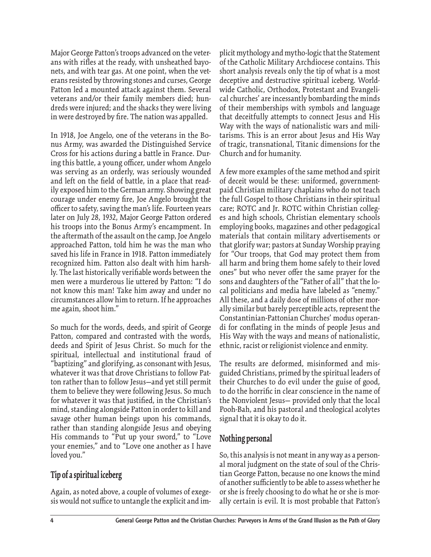Major George Patton's troops advanced on the veterans with rifles at the ready, with unsheathed bayonets, and with tear gas. At one point, when the veterans resisted by throwing stones and curses, George Patton led a mounted attack against them. Several veterans and/or their family members died; hundreds were injured; and the shacks they were living in were destroyed by fire. The nation was appalled.

In 1918, Joe Angelo, one of the veterans in the Bonus Army, was awarded the Distinguished Service Cross for his actions during a battle in France. During this battle, a young officer, under whom Angelo was serving as an orderly, was seriously wounded and left on the field of battle, in a place that readily exposed him to the German army. Showing great courage under enemy fire, Joe Angelo brought the officer to safety, saving the man's life. Fourteen years later on July 28, 1932, Major George Patton ordered his troops into the Bonus Army's encampment. In the aftermath of the assault on the camp, Joe Angelo approached Patton, told him he was the man who saved his life in France in 1918. Patton immediately recognized him. Patton also dealt with him harshly. The last historically verifiable words between the men were a murderous lie uttered by Patton: "I do not know this man! Take him away and under no circumstances allow him to return. If he approaches me again, shoot him."

So much for the words, deeds, and spirit of George Patton, compared and contrasted with the words, deeds and Spirit of Jesus Christ. So much for the spiritual, intellectual and institutional fraud of "baptizing" and glorifying, as consonant with Jesus, whatever it was that drove Christians to follow Patton rather than to follow Jesus—and yet still permit them to believe they were following Jesus. So much for whatever it was that justified, in the Christian's mind, standing alongside Patton in order to kill and savage other human beings upon his commands, rather than standing alongside Jesus and obeying His commands to "Put up your sword," to "Love your enemies," and to "Love one another as I have loved you."

#### **Tip of a spiritual iceberg**

Again, as noted above, a couple of volumes of exegesis would not suffice to untangle the explicit and implicit mythology and mytho-logic that the Statement of the Catholic Military Archdiocese contains. This short analysis reveals only the tip of what is a most deceptive and destructive spiritual iceberg. Worldwide Catholic, Orthodox, Protestant and Evangelical churches' are incessantly bombarding the minds of their memberships with symbols and language that deceitfully attempts to connect Jesus and His Way with the ways of nationalistic wars and militarisms. This is an error about Jesus and His Way of tragic, transnational, Titanic dimensions for the Church and for humanity.

A few more examples of the same method and spirit of deceit would be these: uniformed, governmentpaid Christian military chaplains who do not teach the full Gospel to those Christians in their spiritual care; ROTC and Jr. ROTC within Christian colleges and high schools, Christian elementary schools employing books, magazines and other pedagogical materials that contain military advertisements or that glorify war; pastors at Sunday Worship praying for "Our troops, that God may protect them from all harm and bring them home safely to their loved ones" but who never offer the same prayer for the sons and daughters of the "Father of all" that the local politicians and media have labeled as "enemy." All these, and a daily dose of millions of other morally similar but barely perceptible acts, represent the Constantinian-Pattonian Churches' modus operandi for conflating in the minds of people Jesus and His Way with the ways and means of nationalistic, ethnic, racist or religionist violence and enmity.

The results are deformed, misinformed and misguided Christians, primed by the spiritual leaders of their Churches to do evil under the guise of good, to do the horrific in clear conscience in the name of the Nonviolent Jesus— provided only that the local Pooh-Bah, and his pastoral and theological acolytes signal that it is okay to do it.

#### **Nothing personal**

So, this analysis is not meant in any way as a personal moral judgment on the state of soul of the Christian George Patton, because no one knows the mind of another sufficiently to be able to assess whether he or she is freely choosing to do what he or she is morally certain is evil. It is most probable that Patton's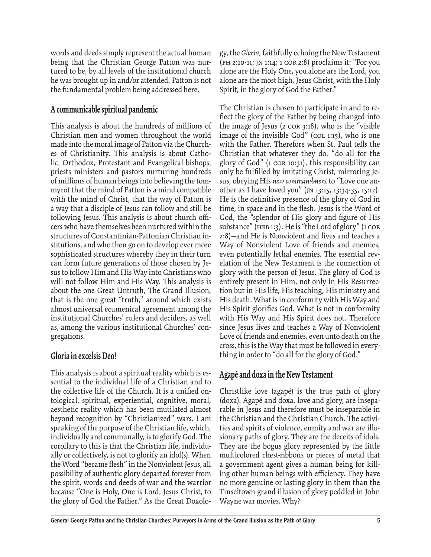words and deeds simply represent the actual human being that the Christian George Patton was nurtured to be, by all levels of the institutional church he was brought up in and/or attended. Patton is not the fundamental problem being addressed here.

#### **A communicable spiritual pandemic**

This analysis is about the hundreds of millions of Christian men and women throughout the world made into the moral image of Patton via the Churches of Christianity. This analysis is about Catholic, Orthodox, Protestant and Evangelical bishops, priests ministers and pastors nurturing hundreds of millions of human beings into believing the tommyrot that the mind of Patton is a mind compatible with the mind of Christ, that the way of Patton is a way that a disciple of Jesus can follow and still be following Jesus. This analysis is about church officers who have themselves been nurtured within the structures of Constantinian-Pattonian Christian institutions, and who then go on to develop ever more sophisticated structures whereby they in their turn can form future generations of those chosen by Jesus to follow Him and His Way into Christians who will not follow Him and His Way. This analysis is about the one Great Untruth, The Grand Illusion, that is the one great "truth," around which exists almost universal ecumenical agreement among the institutional Churches' rulers and deciders, as well as, among the various institutional Churches' congregations.

#### **Gloria in excelsis Deo!**

This analysis is about a spiritual reality which is essential to the individual life of a Christian and to the collective life of the Church. It is a unified ontological, spiritual, experiential, cognitive, moral, aesthetic reality which has been mutilated almost beyond recognition by "Christianized" wars. I am speaking of the purpose of the Christian life, which, individually and communally, is to glorify God. The corollary to this is that the Christian life, individually or collectively, is not to glorify an idol(s). When the Word "became flesh" in the Nonviolent Jesus, all possibility of authentic glory departed forever from the spirit, words and deeds of war and the warrior because "One is Holy, One is Lord, Jesus Christ, to the glory of God the Father." As the Great Doxology, the *Gloria,* faithfully echoing the New Testament (ph 2:10-11; jn 1:14; 1 cor 2:8) proclaims it: "For you alone are the Holy One, you alone are the Lord, you alone are the most high, Jesus Christ, with the Holy Spirit, in the glory of God the Father."

The Christian is chosen to participate in and to reflect the glory of the Father by being changed into the image of Jesus (2 cor 3:18), who is the "visible image of the invisible God" ( $cot$  1:15), who is one with the Father. Therefore when St. Paul tells the Christian that whatever they do, "do all for the glory of God" (1 cor 10:31), this responsibility can only be fulfilled by imitating Christ, mirroring Jesus, obeying His *new commandment* to "Love one another as I have loved you" (jn 13:15, 13:34-35, 15:12). He is the definitive presence of the glory of God in time, in space and in the flesh. Jesus is the Word of God, the "splendor of His glory and figure of His substance" (HEB 1:3). He is "the Lord of glory" (1  $\cos$ 2:8)—and He is Nonviolent and lives and teaches a Way of Nonviolent Love of friends and enemies, even potentially lethal enemies. The essential revelation of the New Testament is the connection of glory with the person of Jesus. The glory of God is entirely present in Him, not only in His Resurrection but in His life, His teaching, His ministry and His death. What is in conformity with His Way and His Spirit glorifies God. What is not in conformity with His Way and His Spirit does not. Therefore since Jesus lives and teaches a Way of Nonviolent Love of friends and enemies, even unto death on the cross, this is the Way that must be followed in everything in order to "do all for the glory of God."

#### **Agapé and doxa in the New Testament**

Christlike love (agapé) is the true path of glory (doxa). Agapé and doxa, love and glory, are inseparable in Jesus and therefore must be inseparable in the Christian and the Christian Church. The activities and spirits of violence, enmity and war are illusionary paths of glory. They are the deceits of idols. They are the bogus glory represented by the little multicolored chest-ribbons or pieces of metal that a government agent gives a human being for killing other human beings with efficiency. They have no more genuine or lasting glory in them than the Tinseltown grand illusion of glory peddled in John Wayne war movies. Why?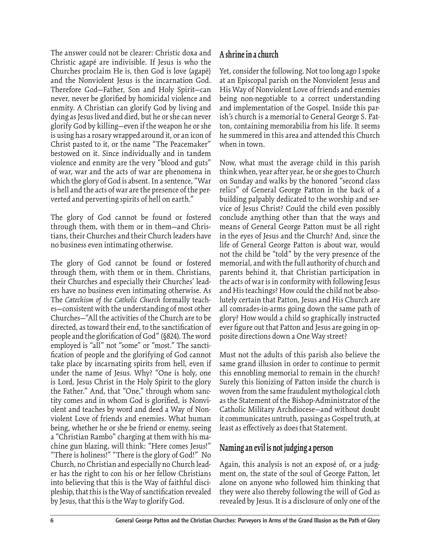The answer could not be clearer: Christic doxa and Christic agapé are indivisible. If Jesus is who the Churches proclaim He is, then God is love (agapé) and the Nonviolent Jesus is the incarnation God. Therefore God—Father, Son and Holy Spirit—can never, never be glorified by homicidal violence and enmity. A Christian can glorify God by living and dying as Jesus lived and died, but he or she can never glorify God by killing—even if the weapon he or she is using has a rosary wrapped around it, or an icon of Christ pasted to it, or the name "The Peacemaker" bestowed on it. Since individually and in tandem violence and enmity are the very "blood and guts" of war, war and the acts of war are phenomena in which the glory of God is absent. In a sentence, "War is hell and the acts of war are the presence of the perverted and perverting spirits of hell on earth."

The glory of God cannot be found or fostered through them, with them or in them—and Christians, their Churches and their Church leaders have no business even intimating otherwise.

The glory of God cannot be found or fostered through them, with them or in them. Christians, their Churches and especially their Churches' leaders have no business even intimating otherwise. As The *Catechism of the Catholic Church* formally teaches—consistent with the understanding of most other Churches—"All the activities of the Church are to be directed, as toward their end, to the sanctification of people and the glorification of God" (§824). The word employed is "all" not "some" or "most." The sanctification of people and the glorifying of God cannot take place by incarnating spirits from hell, even if under the name of Jesus. Why? "One is holy, one is Lord, Jesus Christ in the Holy Spirit to the glory the Father." And, that "One," through whom sanctity comes and in whom God is glorified, is Nonviolent and teaches by word and deed a Way of Nonviolent Love of friends and enemies. What human being, whether he or she be friend or enemy, seeing a "Christian Rambo" charging at them with his machine gun blazing, will think: "Here comes Jesus!" "There is holiness!" "There is the glory of God!" No Church, no Christian and especially no Church leader has the right to con his or her fellow Christians into believing that this is the Way of faithful discipleship, that this is the Way of sanctification revealed by Jesus, that this is the Way to glorify God.

## **A shrine in a church**

Yet, consider the following. Not too long ago I spoke at an Episcopal parish on the Nonviolent Jesus and His Way of Nonviolent Love of friends and enemies being non-negotiable to a correct understanding and implementation of the Gospel. Inside this parish's church is a memorial to General George S. Patton, containing memorabilia from his life. It seems he summered in this area and attended this Church when in town.

Now, what must the average child in this parish think when, year after year, he or she goes to Church on Sunday and walks by the honored "second class relics" of General George Patton in the back of a building palpably dedicated to the worship and service of Jesus Christ? Could the child even possibly conclude anything other than that the ways and means of General George Patton must be all right in the eyes of Jesus and the Church? And, since the life of General George Patton is about war, would not the child be "told" by the very presence of the memorial, and with the full authority of church and parents behind it, that Christian participation in the acts of war is in conformity with following Jesus and His teachings? How could the child not be absolutely certain that Patton, Jesus and His Church are all comrades-in-arms going down the same path of glory? How would a child so graphically instructed ever figure out that Patton and Jesus are going in opposite directions down a One Way street?

Must not the adults of this parish also believe the same grand illusion in order to continue to permit this ennobling memorial to remain in the church? Surely this lionizing of Patton inside the church is woven from the same fraudulent mythological cloth as the Statement of the Bishop-Administrator of the Catholic Military Archdiocese—and without doubt it communicates untruth, passing as Gospel truth, at least as effectively as does that Statement.

## **Naming an evil is not judging a person**

Again, this analysis is not an exposé of, or a judgment on, the state of the soul of George Patton, let alone on anyone who followed him thinking that they were also thereby following the will of God as revealed by Jesus. It is a disclosure of only one of the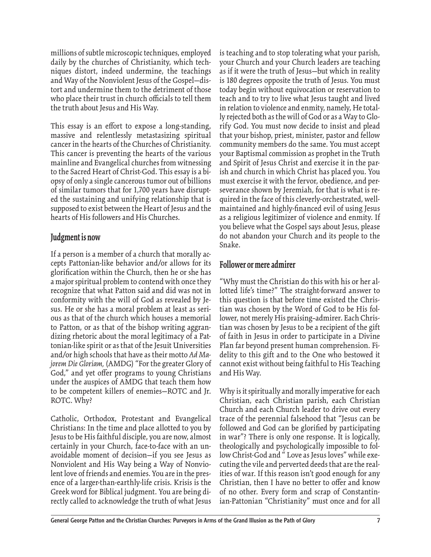millions of subtle microscopic techniques, employed daily by the churches of Christianity, which techniques distort, indeed undermine, the teachings and Way of the Nonviolent Jesus of the Gospel—distort and undermine them to the detriment of those who place their trust in church officials to tell them the truth about Jesus and His Way.

This essay is an effort to expose a long-standing, massive and relentlessly metastasizing spiritual cancer in the hearts of the Churches of Christianity. This cancer is preventing the hearts of the various mainline and Evangelical churches from witnessing to the Sacred Heart of Christ-God. This essay is a biopsy of only a single cancerous tumor out of billions of similar tumors that for 1,700 years have disrupted the sustaining and unifying relationship that is supposed to exist between the Heart of Jesus and the hearts of His followers and His Churches.

#### **Judgment is now**

If a person is a member of a church that morally accepts Pattonian-like behavior and/or allows for its glorification within the Church, then he or she has a major spiritual problem to contend with once they recognize that what Patton said and did was not in conformity with the will of God as revealed by Jesus. He or she has a moral problem at least as serious as that of the church which houses a memorial to Patton, or as that of the bishop writing aggrandizing rhetoric about the moral legitimacy of a Pattonian-like spirit or as that of the Jesuit Universities and/or high schools that have as their motto *Ad Majorem Die Gloriam,* (AMDG) "For the greater Glory of God," and yet offer programs to young Christians under the auspices of AMDG that teach them how to be competent killers of enemies—ROTC and Jr. ROTC. Why?

Catholic, Orthodox, Protestant and Evangelical Christians: In the time and place allotted to you by Jesus to be His faithful disciple, you are now, almost certainly in your Church, face-to-face with an unavoidable moment of decision—if you see Jesus as Nonviolent and His Way being a Way of Nonviolent love of friends and enemies. You are in the presence of a larger-than-earthly-life crisis. Krisis is the Greek word for Biblical judgment. You are being directly called to acknowledge the truth of what Jesus

is teaching and to stop tolerating what your parish, your Church and your Church leaders are teaching as if it were the truth of Jesus—but which in reality is 180 degrees opposite the truth of Jesus. You must today begin without equivocation or reservation to teach and to try to live what Jesus taught and lived in relation to violence and enmity, namely, He totally rejected both as the will of God or as a Way to Glorify God. You must now decide to insist and plead that your bishop, priest, minister, pastor and fellow community members do the same. You must accept your Baptismal commission as prophet in the Truth and Spirit of Jesus Christ and exercise it in the parish and church in which Christ has placed you. You must exercise it with the fervor, obedience, and perseverance shown by Jeremiah, for that is what is required in the face of this cleverly-orchestrated, wellmaintained and highly-financed evil of using Jesus as a religious legitimizer of violence and enmity. If you believe what the Gospel says about Jesus, please do not abandon your Church and its people to the Snake.

#### **Follower or mere admirer**

"Why must the Christian do this with his or her allotted life's time?" The straight-forward answer to this question is that before time existed the Christian was chosen by the Word of God to be His follower, not merely His praising–admirer. Each Christian was chosen by Jesus to be a recipient of the gift of faith in Jesus in order to participate in a Divine Plan far beyond present human comprehension. Fidelity to this gift and to the One who bestowed it cannot exist without being faithful to His Teaching and His Way.

Why is it spiritually and morally imperative for each Christian, each Christian parish, each Christian Church and each Church leader to drive out every trace of the perennial falsehood that "Jesus can be followed and God can be glorified by participating in war"? There is only one response. It is logically, theologically and psychologically impossible to follow Christ-God and " Love as Jesus loves" while executing the vile and perverted deeds that are the realities of war. If this reason isn't good enough for any Christian, then I have no better to offer and know of no other. Every form and scrap of Constantinian-Pattonian "Christianity" must once and for all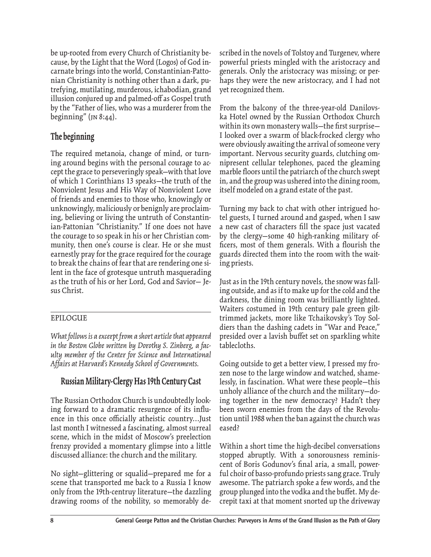be up-rooted from every Church of Christianity because, by the Light that the Word (Logos) of God incarnate brings into the world, Constantinian-Pattonian Christianity is nothing other than a dark, putrefying, mutilating, murderous, ichabodian, grand illusion conjured up and palmed-off as Gospel truth by the "Father of lies, who was a murderer from the beginning" (JN 8:44).

## **The beginning**

The required metanoia, change of mind, or turning around begins with the personal courage to accept the grace to perseveringly speak—with that love of which 1 Corinthians 13 speaks—the truth of the Nonviolent Jesus and His Way of Nonviolent Love of friends and enemies to those who, knowingly or unknowingly, maliciously or benignly are proclaiming, believing or living the untruth of Constantinian-Pattonian "Christianity." If one does not have the courage to so speak in his or her Christian community, then one's course is clear. He or she must earnestly pray for the grace required for the courage to break the chains of fear that are rendering one silent in the face of grotesque untruth masquerading as the truth of his or her Lord, God and Savior— Jesus Christ.

#### EPILOGUE

*What follows is a excerpt from a short article that appeared in the Boston Globe written by Dorothy S. Zinberg, a faculty member of the Center for Science and International Affairs at Harvard's Kennedy School of Governments.*

## **Russian Military-Clergy Has 19th Century Cast**

The Russian Orthodox Church is undoubtedly looking forward to a dramatic resurgence of its influence in this once officially atheistic country...Just last month I witnessed a fascinating, almost surreal scene, which in the midst of Moscow's preelection frenzy provided a momentary glimpse into a little discussed alliance: the church and the military.

No sight—glittering or squalid—prepared me for a scene that transported me back to a Russia I know only from the 19th-centruy literature—the dazzling drawing rooms of the nobility, so memorably de-

scribed in the novels of Tolstoy and Turgenev, where powerful priests mingled with the aristocracy and generals. Only the aristocracy was missing; or perhaps they were the new aristocracy, and I had not yet recognized them.

From the balcony of the three-year-old Danilovska Hotel owned by the Russian Orthodox Church within its own monastery walls—the first surprise— I looked over a swarm of black-frocked clergy who were obviously awaiting the arrival of someone very important. Nervous security guards, clutching omnipresent cellular telephones, paced the gleaming marble floors until the patriarch of the church swept in, and the group was ushered into the dining room, itself modeled on a grand estate of the past.

Turning my back to chat with other intrigued hotel guests, I turned around and gasped, when I saw a new cast of characters fill the space just vacated by the clergy—some 40 high-ranking military officers, most of them generals. With a flourish the guards directed them into the room with the waiting priests.

Just as in the 19th century novels, the snow was falling outside, and as if to make up for the cold and the darkness, the dining room was brilliantly lighted. Waiters costumed in 19th century pale green gilttrimmed jackets, more like Tchaikovsky's Toy Soldiers than the dashing cadets in "War and Peace," presided over a lavish buffet set on sparkling white tablecloths.

Going outside to get a better view, I pressed my frozen nose to the large window and watched, shamelessly, in fascination. What were these people—this unholy alliance of the church and the military—doing together in the new democracy? Hadn't they been sworn enemies from the days of the Revolution until 1988 when the ban against the church was eased?

Within a short time the high-decibel conversations stopped abruptly. With a sonorousness reminiscent of Boris Godunov's final aria, a small, powerful choir of basso-profundo priests sang grace. Truly awesome. The patriarch spoke a few words, and the group plunged into the vodka and the buffet. My decrepit taxi at that moment snorted up the driveway